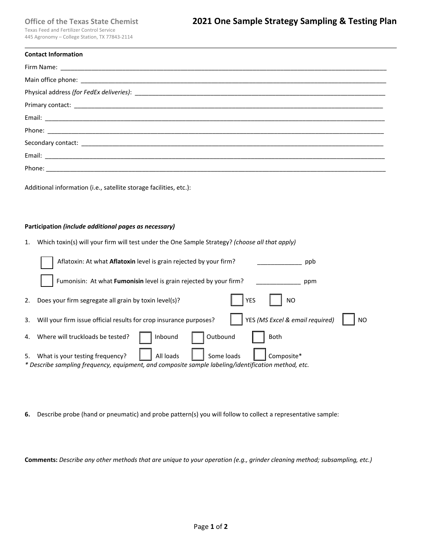Texas Feed and Fertilizer Control Service 445 Agronomy – College Station, TX 77843‐2114

| <b>Contact Information</b> |  |  |  |  |
|----------------------------|--|--|--|--|
|                            |  |  |  |  |
|                            |  |  |  |  |
|                            |  |  |  |  |
|                            |  |  |  |  |
|                            |  |  |  |  |
|                            |  |  |  |  |
|                            |  |  |  |  |
|                            |  |  |  |  |
|                            |  |  |  |  |

Additional information (i.e., satellite storage facilities, etc.):

## **Participation** *(include additional pages as necessary)*

1. Which toxin(s) will your firm will test under the One Sample Strategy? *(choose all that apply)* 

|    | Aflatoxin: At what Aflatoxin level is grain rejected by your firm?<br>ppb                                                                                                       |  |  |  |
|----|---------------------------------------------------------------------------------------------------------------------------------------------------------------------------------|--|--|--|
|    | Fumonisin: At what Fumonisin level is grain rejected by your firm?<br>ppm                                                                                                       |  |  |  |
|    | <b>NO</b><br><b>YES</b><br>Does your firm segregate all grain by toxin level(s)?                                                                                                |  |  |  |
| 3. | YES (MS Excel & email required)<br>Will your firm issue official results for crop insurance purposes?                                                                           |  |  |  |
| 4. | Outbound<br>Where will truckloads be tested?<br>Inbound<br>Both                                                                                                                 |  |  |  |
| 5. | Some loads<br>What is your testing frequency?<br>All loads<br>Composite*<br>* Describe sampling frequency, equipment, and composite sample labeling/identification method, etc. |  |  |  |

**6.** Describe probe (hand or pneumatic) and probe pattern(s) you will follow to collect a representative sample:

**Comments:** *Describe any other methods that are unique to your operation (e.g., grinder cleaning method; subsampling, etc.)*